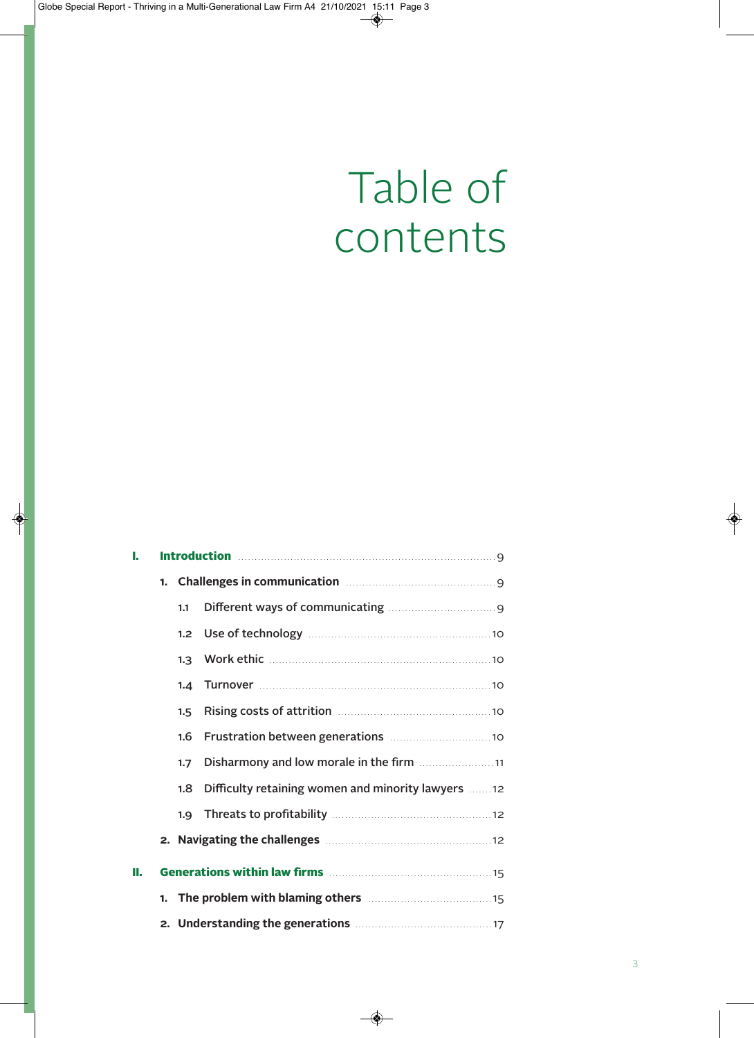## Table of contents

| ī. |                  | Introduction Material Communication of the Second Communication of the Second Communication of the Second Communication of the Second Communication of the Second Communication of the Second Communication of the Second Comm |  |
|----|------------------|--------------------------------------------------------------------------------------------------------------------------------------------------------------------------------------------------------------------------------|--|
|    |                  | 1. Challenges in communication <b>communication</b> 3                                                                                                                                                                          |  |
|    | 1.1              |                                                                                                                                                                                                                                |  |
|    | 1.2 <sub>2</sub> |                                                                                                                                                                                                                                |  |
|    | 1.3 <sub>1</sub> |                                                                                                                                                                                                                                |  |
|    |                  |                                                                                                                                                                                                                                |  |
|    | 1.5              |                                                                                                                                                                                                                                |  |
|    | $1.6\,$          |                                                                                                                                                                                                                                |  |
|    | 1.7              |                                                                                                                                                                                                                                |  |
|    | 1.8 <sup>°</sup> | Difficulty retaining women and minority lawyers 12                                                                                                                                                                             |  |
|    |                  |                                                                                                                                                                                                                                |  |
|    |                  | 2. Navigating the challenges <b>Manual According to the Challenges</b>                                                                                                                                                         |  |
| П. |                  |                                                                                                                                                                                                                                |  |
|    |                  | 1. The problem with blaming others <b>communicates</b> 15                                                                                                                                                                      |  |
|    |                  |                                                                                                                                                                                                                                |  |
|    |                  |                                                                                                                                                                                                                                |  |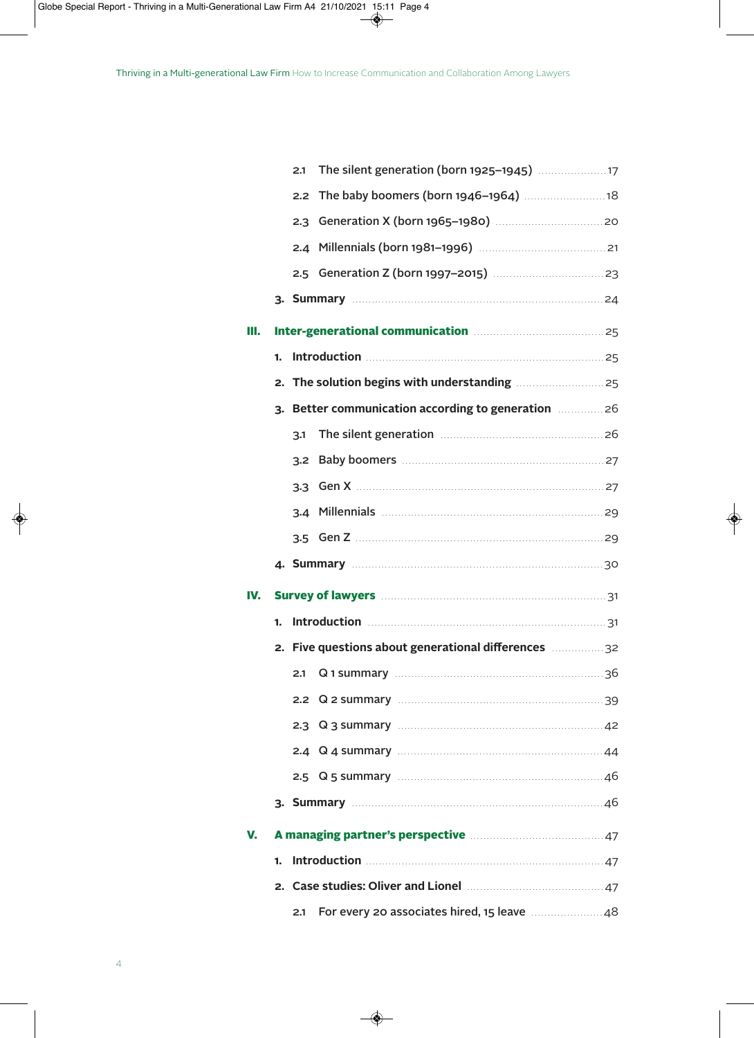|     |    | 2.1 |                                                                                                                                                                                                                                    |  |
|-----|----|-----|------------------------------------------------------------------------------------------------------------------------------------------------------------------------------------------------------------------------------------|--|
|     |    |     | 2.2 The baby boomers (born 1946-1964)  18                                                                                                                                                                                          |  |
|     |    |     |                                                                                                                                                                                                                                    |  |
|     |    |     |                                                                                                                                                                                                                                    |  |
|     |    |     |                                                                                                                                                                                                                                    |  |
|     |    |     | 3. Summary <b>24. Summary 24. 24</b>                                                                                                                                                                                               |  |
| Ш.  |    |     | Inter-generational communication <b>Manual</b> 25                                                                                                                                                                                  |  |
|     | 1. |     |                                                                                                                                                                                                                                    |  |
|     |    |     | 2. The solution begins with understanding <b>manually 25</b>                                                                                                                                                                       |  |
|     |    |     | 3. Better communication according to generation <b>manually</b> 26                                                                                                                                                                 |  |
|     |    | 3.1 | The silent generation manufactured and 26                                                                                                                                                                                          |  |
|     |    | 3.2 |                                                                                                                                                                                                                                    |  |
|     |    |     | 3.3 Gen X 27                                                                                                                                                                                                                       |  |
|     |    |     | 3.4 Millennials 29                                                                                                                                                                                                                 |  |
|     |    |     |                                                                                                                                                                                                                                    |  |
|     |    |     |                                                                                                                                                                                                                                    |  |
| IV. |    |     |                                                                                                                                                                                                                                    |  |
|     | 1. |     |                                                                                                                                                                                                                                    |  |
|     |    |     | 2. Five questions about generational differences <b>manually</b> 32                                                                                                                                                                |  |
|     |    | 2.1 |                                                                                                                                                                                                                                    |  |
|     |    |     | 2.2 Q 2 summary <b>contract and the Contract Of 2</b> summary                                                                                                                                                                      |  |
|     |    |     |                                                                                                                                                                                                                                    |  |
|     |    |     |                                                                                                                                                                                                                                    |  |
|     |    |     |                                                                                                                                                                                                                                    |  |
|     |    |     |                                                                                                                                                                                                                                    |  |
| V.  |    |     | A managing partner's perspective <b>Managing 17</b> Amanaging and the series of the series and the series and the series and the series and the series and the series and the series and the series and series are all all all all |  |
|     | 1. |     | Introduction 27                                                                                                                                                                                                                    |  |
|     |    |     | 2. Case studies: Oliver and Lionel <b>Manual</b> 2. Case studies: 0                                                                                                                                                                |  |
|     |    |     |                                                                                                                                                                                                                                    |  |
|     |    | 2.1 |                                                                                                                                                                                                                                    |  |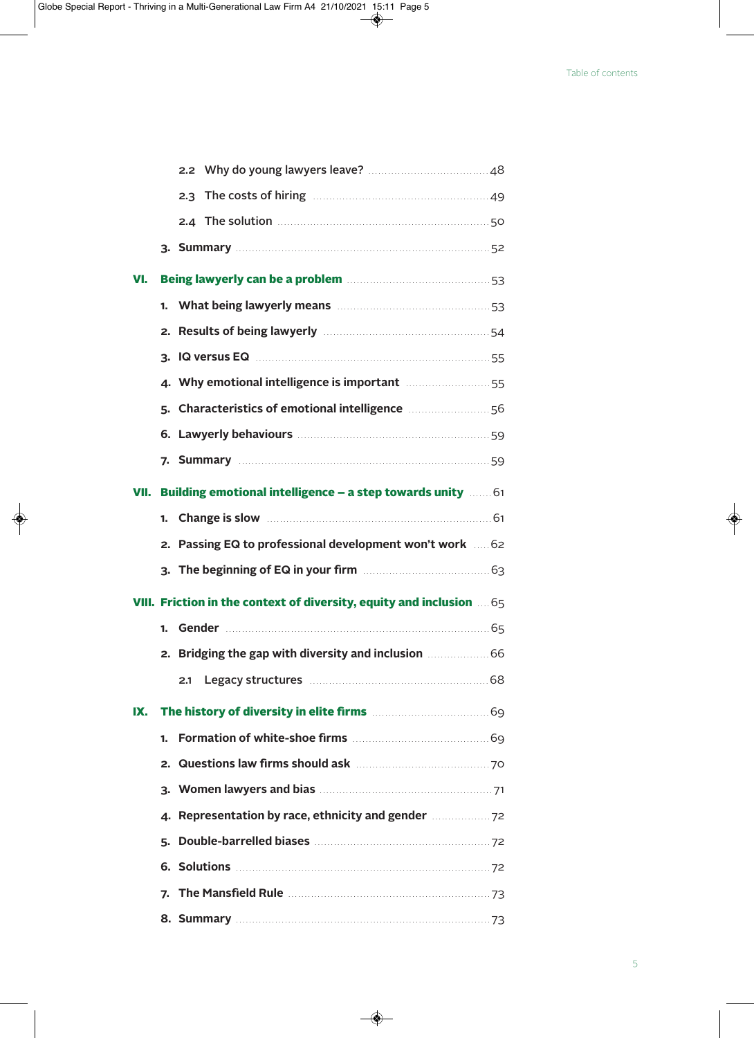|      |    | 2.4 The solution <b>Manual</b> 2.4 The solution                                                                        |  |
|------|----|------------------------------------------------------------------------------------------------------------------------|--|
|      |    |                                                                                                                        |  |
| VI.  |    | Being lawyerly can be a problem <b>contained a set of the set of the set of the set of the set of the set of the s</b> |  |
|      |    | 1. What being lawyerly means <b>contained a matter of the UK and S</b> 3                                               |  |
|      |    | 2. Results of being lawyerly <b>contained a matter of the State State State 34</b>                                     |  |
|      |    | 3. IQ versus EQ <b>Manual Community</b> 55                                                                             |  |
|      |    | 4. Why emotional intelligence is important manufactured using 55                                                       |  |
|      |    | 56 Characteristics of emotional intelligence manuscripts of                                                            |  |
|      |    |                                                                                                                        |  |
|      |    |                                                                                                                        |  |
| VII. |    | <b>Building emotional intelligence - a step towards unity manufold contains an except contains a</b>                   |  |
|      | 1. |                                                                                                                        |  |
|      |    | 2. Passing EQ to professional development won't work  62                                                               |  |
|      |    |                                                                                                                        |  |
|      |    | VIII. Friction in the context of diversity, equity and inclusion  65                                                   |  |
|      |    |                                                                                                                        |  |
|      |    | 2. Bridging the gap with diversity and inclusion <b>contracts</b> 66                                                   |  |
|      |    | 2.1 Legacy structures <b>Manual According to the Structure of Structure Control</b> 68                                 |  |
| IX.  |    | The history of diversity in elite firms <b>manually and history of diversity in elite firms</b>                        |  |
|      | 1. |                                                                                                                        |  |
|      |    |                                                                                                                        |  |
|      |    |                                                                                                                        |  |
|      |    | 4. Representation by race, ethnicity and gender <b>manually</b> 72                                                     |  |
|      |    |                                                                                                                        |  |
|      |    | <b>6. Solutions</b> 22                                                                                                 |  |
|      |    |                                                                                                                        |  |
|      |    | 8. Summary 23. Summary 23. Summary 23. Summary 23. Summary 23. Summary 23. Summary 23. Summary 23. Summary 23          |  |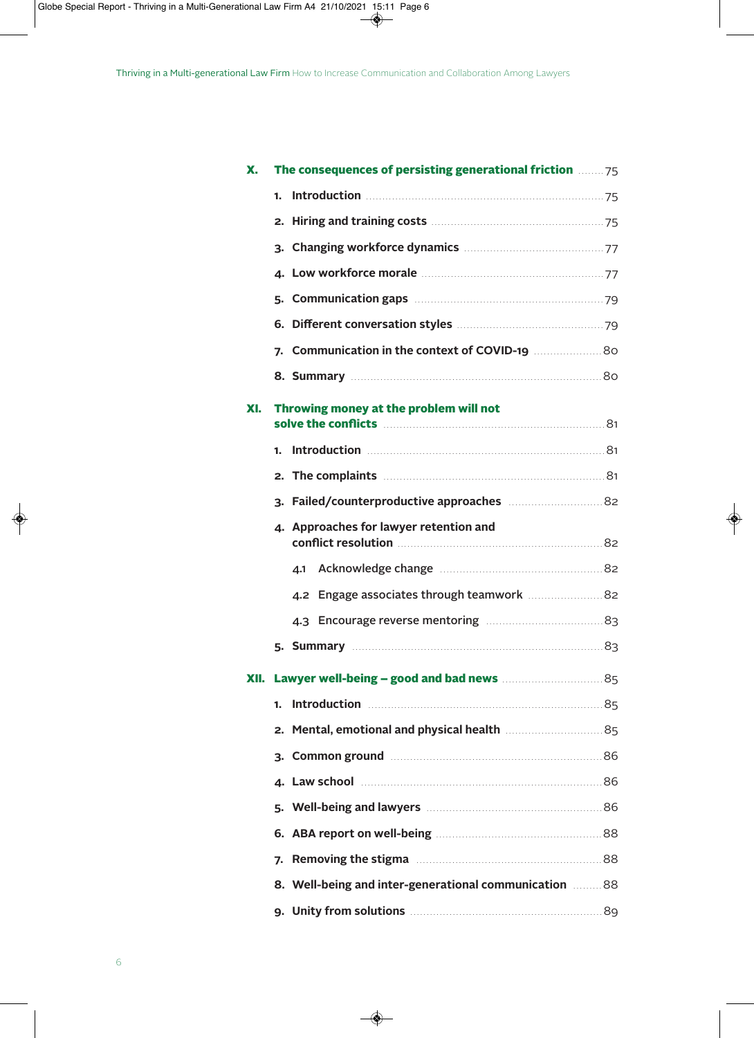| X.  |    | The consequences of persisting generational friction <b></b> 75                                     |  |
|-----|----|-----------------------------------------------------------------------------------------------------|--|
|     | 1. |                                                                                                     |  |
|     |    |                                                                                                     |  |
|     |    |                                                                                                     |  |
|     |    |                                                                                                     |  |
|     |    |                                                                                                     |  |
|     |    |                                                                                                     |  |
|     |    | 7. Communication in the context of COVID-19 <b>Manual</b> 80                                        |  |
|     |    | 8. Summary <b>Martin Martin Community</b> 80                                                        |  |
| XI. |    | Throwing money at the problem will not<br>solve the conflicts <b>conflicts</b> (81)                 |  |
|     | 1. |                                                                                                     |  |
|     |    | 2. The complaints <b>contract and the complaints</b> 31                                             |  |
|     |    | 3. Failed/counterproductive approaches 82                                                           |  |
|     |    | 4. Approaches for lawyer retention and                                                              |  |
|     |    |                                                                                                     |  |
|     |    | 4.2 Engage associates through teamwork  82                                                          |  |
|     |    |                                                                                                     |  |
|     |    |                                                                                                     |  |
|     |    | XII. Lawyer well-being - good and bad news <b>Manual</b> 25                                         |  |
|     | 1. |                                                                                                     |  |
|     |    |                                                                                                     |  |
|     |    | 3. Common ground <b>Manual Manual Common ground</b> 86                                              |  |
|     |    |                                                                                                     |  |
|     |    | 5. Well-being and lawyers <b>Manual According to Mell-being and lawyers</b> Manual Museum Museum 86 |  |
|     |    | 6. ABA report on well-being <b>Manual Community</b> 88                                              |  |
|     | 7. | Removing the stigma <b>contract and the stigma</b> 88                                               |  |
|     |    | 8. Well-being and inter-generational communication manual 88                                        |  |
|     |    | 9. Unity from solutions <b>Manual Exception Contracts</b> 89                                        |  |